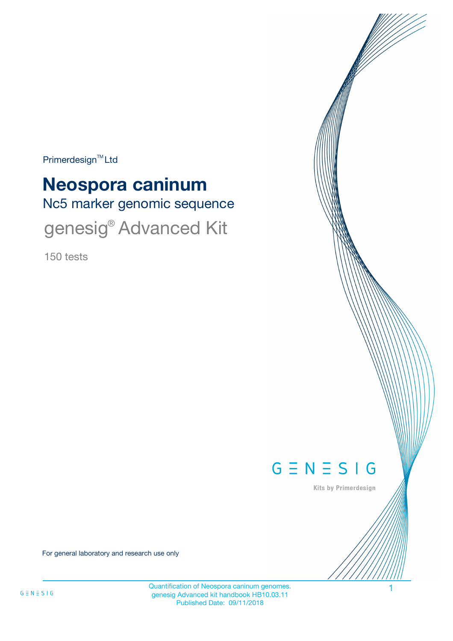$Primerdesign<sup>™</sup>Ltd$ 

# Nc5 marker genomic sequence **Neospora caninum** genesig® Advanced Kit

150 tests



Kits by Primerdesign

For general laboratory and research use only

Quantification of Neospora caninum genomes. 1 genesig Advanced kit handbook HB10.03.11 Published Date: 09/11/2018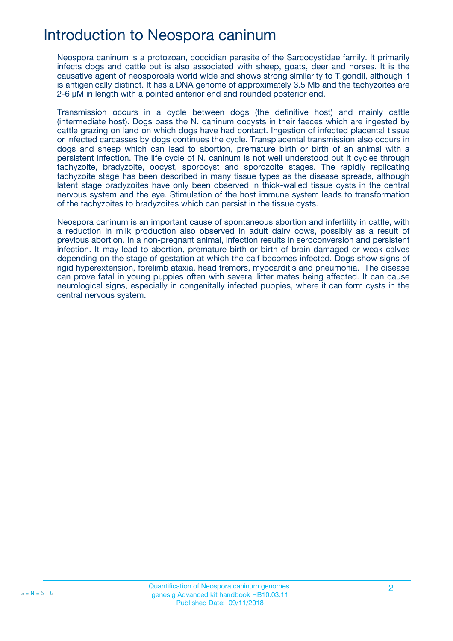## Introduction to Neospora caninum

Neospora caninum is a protozoan, coccidian parasite of the Sarcocystidae family. It primarily infects dogs and cattle but is also associated with sheep, goats, deer and horses. It is the causative agent of neosporosis world wide and shows strong similarity to T.gondii, although it is antigenically distinct. It has a DNA genome of approximately 3.5 Mb and the tachyzoites are 2-6 μM in length with a pointed anterior end and rounded posterior end.

Transmission occurs in a cycle between dogs (the definitive host) and mainly cattle (intermediate host). Dogs pass the N. caninum oocysts in their faeces which are ingested by cattle grazing on land on which dogs have had contact. Ingestion of infected placental tissue or infected carcasses by dogs continues the cycle. Transplacental transmission also occurs in dogs and sheep which can lead to abortion, premature birth or birth of an animal with a persistent infection. The life cycle of N. caninum is not well understood but it cycles through tachyzoite, bradyzoite, oocyst, sporocyst and sporozoite stages. The rapidly replicating tachyzoite stage has been described in many tissue types as the disease spreads, although latent stage bradyzoites have only been observed in thick-walled tissue cysts in the central nervous system and the eye. Stimulation of the host immune system leads to transformation of the tachyzoites to bradyzoites which can persist in the tissue cysts.

Neospora caninum is an important cause of spontaneous abortion and infertility in cattle, with a reduction in milk production also observed in adult dairy cows, possibly as a result of previous abortion. In a non-pregnant animal, infection results in seroconversion and persistent infection. It may lead to abortion, premature birth or birth of brain damaged or weak calves depending on the stage of gestation at which the calf becomes infected. Dogs show signs of rigid hyperextension, forelimb ataxia, head tremors, myocarditis and pneumonia. The disease can prove fatal in young puppies often with several litter mates being affected. It can cause neurological signs, especially in congenitally infected puppies, where it can form cysts in the central nervous system.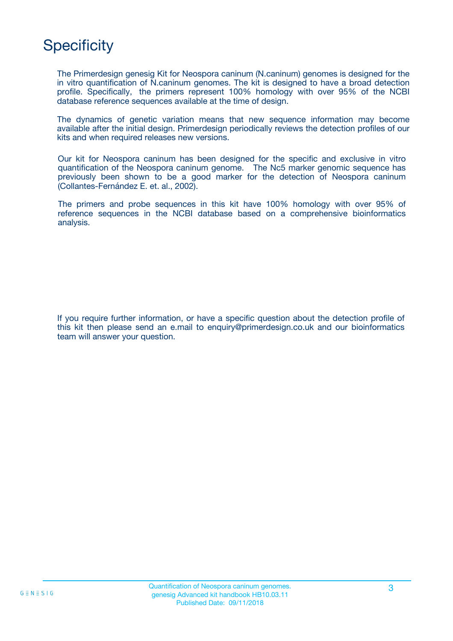## **Specificity**

The Primerdesign genesig Kit for Neospora caninum (N.caninum) genomes is designed for the in vitro quantification of N.caninum genomes. The kit is designed to have a broad detection profile. Specifically, the primers represent 100% homology with over 95% of the NCBI database reference sequences available at the time of design.

The dynamics of genetic variation means that new sequence information may become available after the initial design. Primerdesign periodically reviews the detection profiles of our kits and when required releases new versions.

Our kit for Neospora caninum has been designed for the specific and exclusive in vitro quantification of the Neospora caninum genome. The Nc5 marker genomic sequence has previously been shown to be a good marker for the detection of Neospora caninum (Collantes-Fernández E. et. al., 2002).

The primers and probe sequences in this kit have 100% homology with over 95% of reference sequences in the NCBI database based on a comprehensive bioinformatics analysis.

If you require further information, or have a specific question about the detection profile of this kit then please send an e.mail to enquiry@primerdesign.co.uk and our bioinformatics team will answer your question.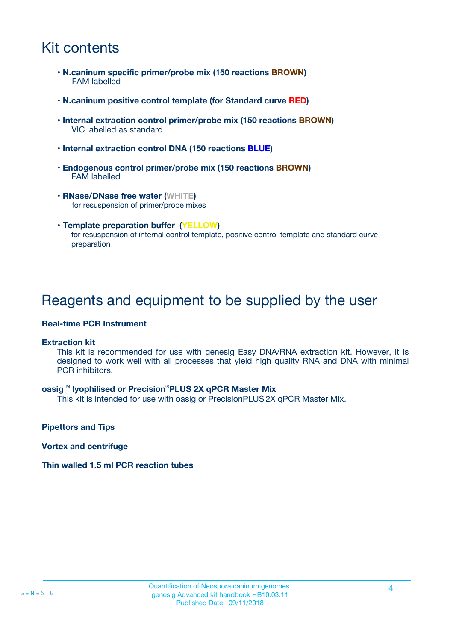## Kit contents

- **N.caninum specific primer/probe mix (150 reactions BROWN)** FAM labelled
- **N.caninum positive control template (for Standard curve RED)**
- **Internal extraction control primer/probe mix (150 reactions BROWN)** VIC labelled as standard
- **Internal extraction control DNA (150 reactions BLUE)**
- **Endogenous control primer/probe mix (150 reactions BROWN)** FAM labelled
- **RNase/DNase free water (WHITE)** for resuspension of primer/probe mixes
- **Template preparation buffer (YELLOW)** for resuspension of internal control template, positive control template and standard curve preparation

### Reagents and equipment to be supplied by the user

#### **Real-time PCR Instrument**

#### **Extraction kit**

This kit is recommended for use with genesig Easy DNA/RNA extraction kit. However, it is designed to work well with all processes that yield high quality RNA and DNA with minimal PCR inhibitors.

#### **oasig**TM **lyophilised or Precision**®**PLUS 2X qPCR Master Mix**

This kit is intended for use with oasig or PrecisionPLUS2X qPCR Master Mix.

**Pipettors and Tips**

**Vortex and centrifuge**

#### **Thin walled 1.5 ml PCR reaction tubes**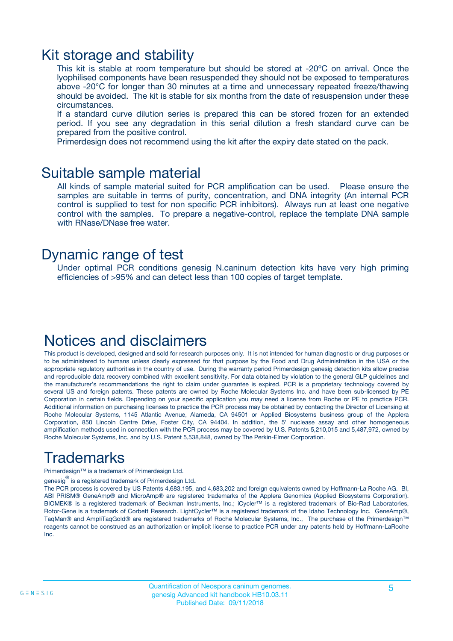### Kit storage and stability

This kit is stable at room temperature but should be stored at -20ºC on arrival. Once the lyophilised components have been resuspended they should not be exposed to temperatures above -20°C for longer than 30 minutes at a time and unnecessary repeated freeze/thawing should be avoided. The kit is stable for six months from the date of resuspension under these circumstances.

If a standard curve dilution series is prepared this can be stored frozen for an extended period. If you see any degradation in this serial dilution a fresh standard curve can be prepared from the positive control.

Primerdesign does not recommend using the kit after the expiry date stated on the pack.

### Suitable sample material

All kinds of sample material suited for PCR amplification can be used. Please ensure the samples are suitable in terms of purity, concentration, and DNA integrity (An internal PCR control is supplied to test for non specific PCR inhibitors). Always run at least one negative control with the samples. To prepare a negative-control, replace the template DNA sample with RNase/DNase free water.

### Dynamic range of test

Under optimal PCR conditions genesig N.caninum detection kits have very high priming efficiencies of >95% and can detect less than 100 copies of target template.

### Notices and disclaimers

This product is developed, designed and sold for research purposes only. It is not intended for human diagnostic or drug purposes or to be administered to humans unless clearly expressed for that purpose by the Food and Drug Administration in the USA or the appropriate regulatory authorities in the country of use. During the warranty period Primerdesign genesig detection kits allow precise and reproducible data recovery combined with excellent sensitivity. For data obtained by violation to the general GLP guidelines and the manufacturer's recommendations the right to claim under guarantee is expired. PCR is a proprietary technology covered by several US and foreign patents. These patents are owned by Roche Molecular Systems Inc. and have been sub-licensed by PE Corporation in certain fields. Depending on your specific application you may need a license from Roche or PE to practice PCR. Additional information on purchasing licenses to practice the PCR process may be obtained by contacting the Director of Licensing at Roche Molecular Systems, 1145 Atlantic Avenue, Alameda, CA 94501 or Applied Biosystems business group of the Applera Corporation, 850 Lincoln Centre Drive, Foster City, CA 94404. In addition, the 5' nuclease assay and other homogeneous amplification methods used in connection with the PCR process may be covered by U.S. Patents 5,210,015 and 5,487,972, owned by Roche Molecular Systems, Inc, and by U.S. Patent 5,538,848, owned by The Perkin-Elmer Corporation.

## Trademarks

Primerdesign™ is a trademark of Primerdesign Ltd.

genesig $^\circledR$  is a registered trademark of Primerdesign Ltd.

The PCR process is covered by US Patents 4,683,195, and 4,683,202 and foreign equivalents owned by Hoffmann-La Roche AG. BI, ABI PRISM® GeneAmp® and MicroAmp® are registered trademarks of the Applera Genomics (Applied Biosystems Corporation). BIOMEK® is a registered trademark of Beckman Instruments, Inc.; iCycler™ is a registered trademark of Bio-Rad Laboratories, Rotor-Gene is a trademark of Corbett Research. LightCycler™ is a registered trademark of the Idaho Technology Inc. GeneAmp®, TaqMan® and AmpliTaqGold® are registered trademarks of Roche Molecular Systems, Inc., The purchase of the Primerdesign™ reagents cannot be construed as an authorization or implicit license to practice PCR under any patents held by Hoffmann-LaRoche Inc.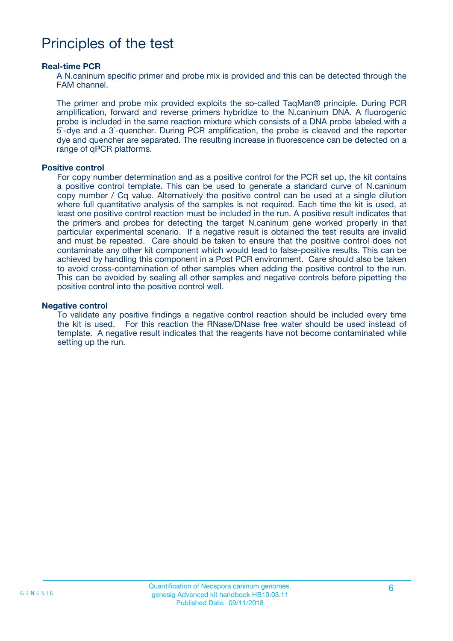## Principles of the test

#### **Real-time PCR**

A N.caninum specific primer and probe mix is provided and this can be detected through the FAM channel.

The primer and probe mix provided exploits the so-called TaqMan® principle. During PCR amplification, forward and reverse primers hybridize to the N.caninum DNA. A fluorogenic probe is included in the same reaction mixture which consists of a DNA probe labeled with a 5`-dye and a 3`-quencher. During PCR amplification, the probe is cleaved and the reporter dye and quencher are separated. The resulting increase in fluorescence can be detected on a range of qPCR platforms.

#### **Positive control**

For copy number determination and as a positive control for the PCR set up, the kit contains a positive control template. This can be used to generate a standard curve of N.caninum copy number / Cq value. Alternatively the positive control can be used at a single dilution where full quantitative analysis of the samples is not required. Each time the kit is used, at least one positive control reaction must be included in the run. A positive result indicates that the primers and probes for detecting the target N.caninum gene worked properly in that particular experimental scenario. If a negative result is obtained the test results are invalid and must be repeated. Care should be taken to ensure that the positive control does not contaminate any other kit component which would lead to false-positive results. This can be achieved by handling this component in a Post PCR environment. Care should also be taken to avoid cross-contamination of other samples when adding the positive control to the run. This can be avoided by sealing all other samples and negative controls before pipetting the positive control into the positive control well.

#### **Negative control**

To validate any positive findings a negative control reaction should be included every time the kit is used. For this reaction the RNase/DNase free water should be used instead of template. A negative result indicates that the reagents have not become contaminated while setting up the run.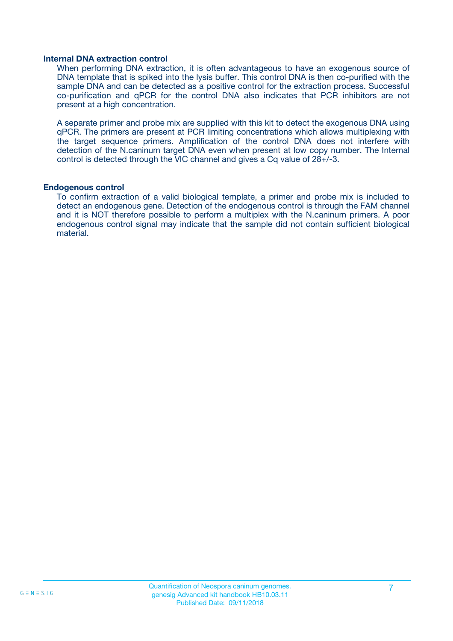#### **Internal DNA extraction control**

When performing DNA extraction, it is often advantageous to have an exogenous source of DNA template that is spiked into the lysis buffer. This control DNA is then co-purified with the sample DNA and can be detected as a positive control for the extraction process. Successful co-purification and qPCR for the control DNA also indicates that PCR inhibitors are not present at a high concentration.

A separate primer and probe mix are supplied with this kit to detect the exogenous DNA using qPCR. The primers are present at PCR limiting concentrations which allows multiplexing with the target sequence primers. Amplification of the control DNA does not interfere with detection of the N.caninum target DNA even when present at low copy number. The Internal control is detected through the VIC channel and gives a Cq value of 28+/-3.

#### **Endogenous control**

To confirm extraction of a valid biological template, a primer and probe mix is included to detect an endogenous gene. Detection of the endogenous control is through the FAM channel and it is NOT therefore possible to perform a multiplex with the N.caninum primers. A poor endogenous control signal may indicate that the sample did not contain sufficient biological material.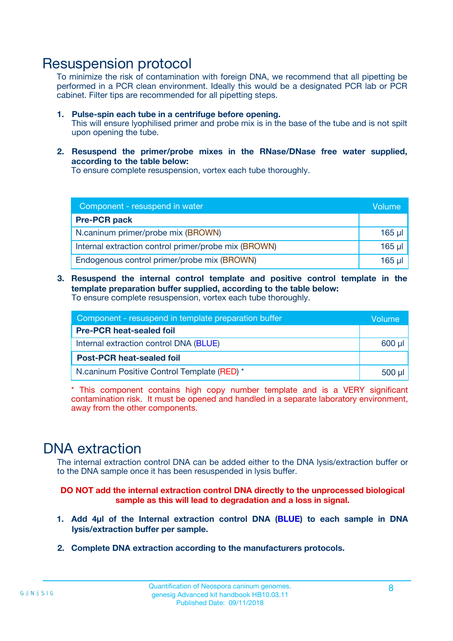### Resuspension protocol

To minimize the risk of contamination with foreign DNA, we recommend that all pipetting be performed in a PCR clean environment. Ideally this would be a designated PCR lab or PCR cabinet. Filter tips are recommended for all pipetting steps.

- **1. Pulse-spin each tube in a centrifuge before opening.** This will ensure lyophilised primer and probe mix is in the base of the tube and is not spilt upon opening the tube.
- **2. Resuspend the primer/probe mixes in the RNase/DNase free water supplied, according to the table below:**

To ensure complete resuspension, vortex each tube thoroughly.

| Component - resuspend in water                       |          |  |
|------------------------------------------------------|----------|--|
| <b>Pre-PCR pack</b>                                  |          |  |
| N.caninum primer/probe mix (BROWN)                   | $165$ µl |  |
| Internal extraction control primer/probe mix (BROWN) | $165$ µl |  |
| Endogenous control primer/probe mix (BROWN)          | 165 µl   |  |

**3. Resuspend the internal control template and positive control template in the template preparation buffer supplied, according to the table below:** To ensure complete resuspension, vortex each tube thoroughly.

| Component - resuspend in template preparation buffer |  |  |  |
|------------------------------------------------------|--|--|--|
| <b>Pre-PCR heat-sealed foil</b>                      |  |  |  |
| Internal extraction control DNA (BLUE)               |  |  |  |
| <b>Post-PCR heat-sealed foil</b>                     |  |  |  |
| N.caninum Positive Control Template (RED) *          |  |  |  |

\* This component contains high copy number template and is a VERY significant contamination risk. It must be opened and handled in a separate laboratory environment, away from the other components.

### DNA extraction

The internal extraction control DNA can be added either to the DNA lysis/extraction buffer or to the DNA sample once it has been resuspended in lysis buffer.

**DO NOT add the internal extraction control DNA directly to the unprocessed biological sample as this will lead to degradation and a loss in signal.**

- **1. Add 4µl of the Internal extraction control DNA (BLUE) to each sample in DNA lysis/extraction buffer per sample.**
- **2. Complete DNA extraction according to the manufacturers protocols.**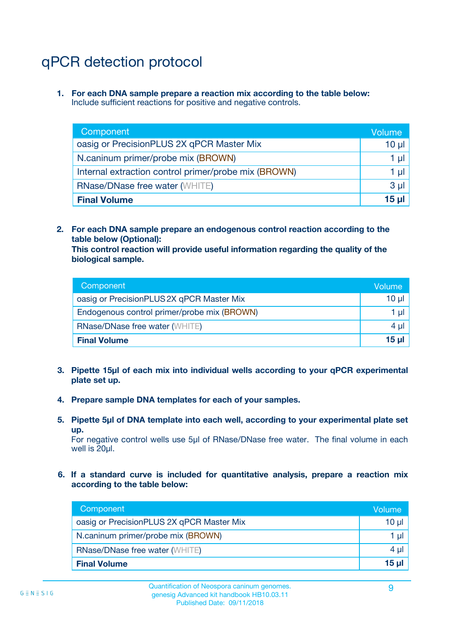## qPCR detection protocol

**1. For each DNA sample prepare a reaction mix according to the table below:** Include sufficient reactions for positive and negative controls.

| Component                                            | Volume   |
|------------------------------------------------------|----------|
| oasig or PrecisionPLUS 2X qPCR Master Mix            | $10 \mu$ |
| N.caninum primer/probe mix (BROWN)                   | 1 µI l   |
| Internal extraction control primer/probe mix (BROWN) | 1 µl     |
| <b>RNase/DNase free water (WHITE)</b>                | $3 \mu$  |
| <b>Final Volume</b>                                  | 15 µl    |

**2. For each DNA sample prepare an endogenous control reaction according to the table below (Optional):**

**This control reaction will provide useful information regarding the quality of the biological sample.**

| Component                                   | Volume          |
|---------------------------------------------|-----------------|
| oasig or PrecisionPLUS 2X qPCR Master Mix   | $10 \mu$        |
| Endogenous control primer/probe mix (BROWN) | 1 µI            |
| <b>RNase/DNase free water (WHITE)</b>       | 4 µl            |
| <b>Final Volume</b>                         | 15 <sub>µ</sub> |

- **3. Pipette 15µl of each mix into individual wells according to your qPCR experimental plate set up.**
- **4. Prepare sample DNA templates for each of your samples.**
- **5. Pipette 5µl of DNA template into each well, according to your experimental plate set up.**

For negative control wells use 5µl of RNase/DNase free water. The final volume in each well is 20ul.

**6. If a standard curve is included for quantitative analysis, prepare a reaction mix according to the table below:**

| Component                                 | Volume     |
|-------------------------------------------|------------|
| oasig or PrecisionPLUS 2X qPCR Master Mix | 10 $\mu$   |
| N.caninum primer/probe mix (BROWN)        | 1 µI I     |
| <b>RNase/DNase free water (WHITE)</b>     | $4 \mu$    |
| <b>Final Volume</b>                       | $15$ $\mu$ |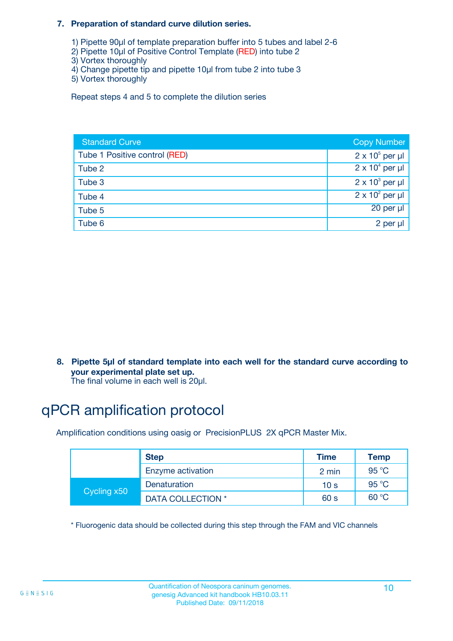#### **7. Preparation of standard curve dilution series.**

- 1) Pipette 90µl of template preparation buffer into 5 tubes and label 2-6
- 2) Pipette 10µl of Positive Control Template (RED) into tube 2
- 3) Vortex thoroughly
- 4) Change pipette tip and pipette 10µl from tube 2 into tube 3
- 5) Vortex thoroughly

Repeat steps 4 and 5 to complete the dilution series

| <b>Standard Curve</b>         | <b>Copy Number</b>     |
|-------------------------------|------------------------|
| Tube 1 Positive control (RED) | $2 \times 10^5$ per µl |
| Tube 2                        | $2 \times 10^4$ per µl |
| Tube 3                        | $2 \times 10^3$ per µl |
| Tube 4                        | $2 \times 10^2$ per µl |
| Tube 5                        | 20 per µl              |
| Tube 6                        | 2 per µl               |

**8. Pipette 5µl of standard template into each well for the standard curve according to your experimental plate set up.**

#### The final volume in each well is 20µl.

## qPCR amplification protocol

Amplification conditions using oasig or PrecisionPLUS 2X qPCR Master Mix.

|             | <b>Step</b>       | <b>Time</b>     | Temp    |
|-------------|-------------------|-----------------|---------|
|             | Enzyme activation | 2 min           | 95 °C   |
| Cycling x50 | Denaturation      | 10 <sub>s</sub> | 95 $°C$ |
|             | DATA COLLECTION * | 60 s            | 60 °C   |

\* Fluorogenic data should be collected during this step through the FAM and VIC channels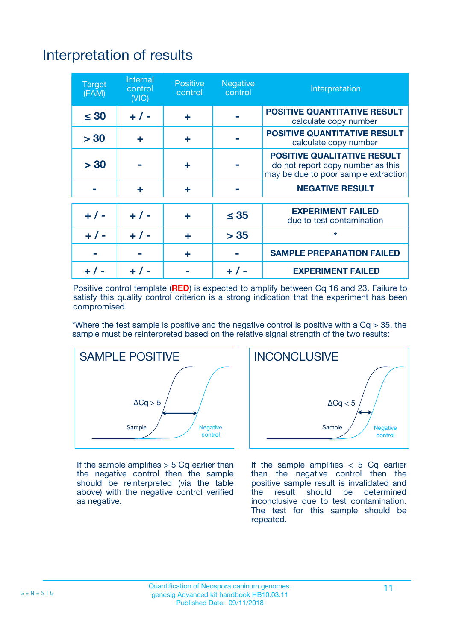## Interpretation of results

| <b>Target</b><br>(FAM) | <b>Internal</b><br>control<br>(NIC) | <b>Positive</b><br>control | <b>Negative</b><br>control | Interpretation                                                                                                  |
|------------------------|-------------------------------------|----------------------------|----------------------------|-----------------------------------------------------------------------------------------------------------------|
| $\leq 30$              | $+ 1 -$                             | ÷                          |                            | <b>POSITIVE QUANTITATIVE RESULT</b><br>calculate copy number                                                    |
| > 30                   | ٠                                   | ÷                          |                            | <b>POSITIVE QUANTITATIVE RESULT</b><br>calculate copy number                                                    |
| > 30                   |                                     | ÷                          |                            | <b>POSITIVE QUALITATIVE RESULT</b><br>do not report copy number as this<br>may be due to poor sample extraction |
|                        | ÷                                   | ÷                          |                            | <b>NEGATIVE RESULT</b>                                                                                          |
| $+ 1 -$                | $+ 1 -$                             | ÷                          | $\leq$ 35                  | <b>EXPERIMENT FAILED</b><br>due to test contamination                                                           |
| $+$ / -                | $+ 1 -$                             | ÷                          | > 35                       | $\star$                                                                                                         |
|                        |                                     | ÷                          |                            | <b>SAMPLE PREPARATION FAILED</b>                                                                                |
|                        |                                     |                            | $+$ /                      | <b>EXPERIMENT FAILED</b>                                                                                        |

Positive control template (**RED**) is expected to amplify between Cq 16 and 23. Failure to satisfy this quality control criterion is a strong indication that the experiment has been compromised.

\*Where the test sample is positive and the negative control is positive with a  $Ca > 35$ , the sample must be reinterpreted based on the relative signal strength of the two results:



If the sample amplifies  $> 5$  Cq earlier than the negative control then the sample should be reinterpreted (via the table above) with the negative control verified as negative.



If the sample amplifies  $< 5$  Cq earlier than the negative control then the positive sample result is invalidated and<br>the result should be determined  $the$  result should be inconclusive due to test contamination. The test for this sample should be repeated.